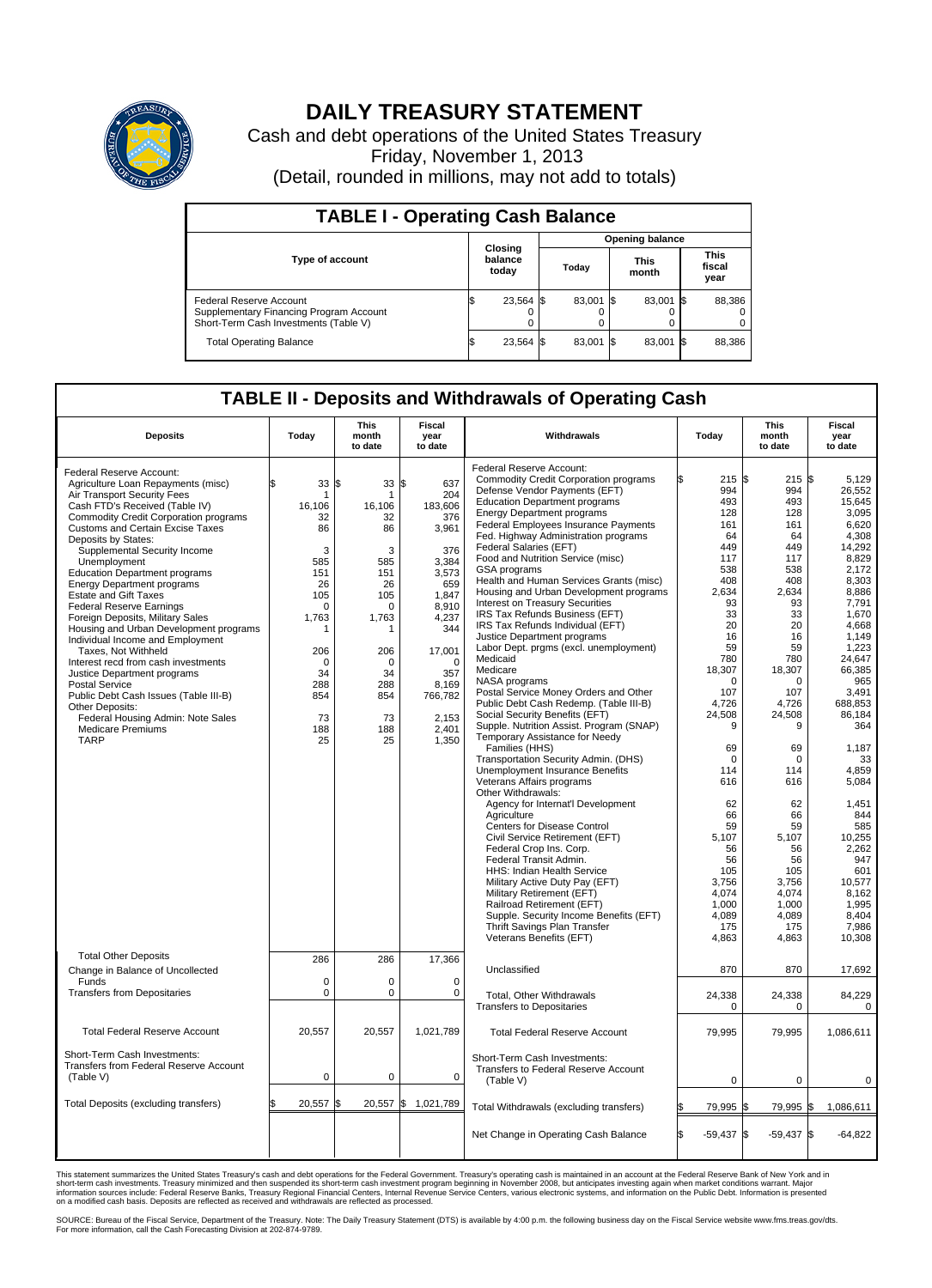

## **DAILY TREASURY STATEMENT**

Cash and debt operations of the United States Treasury Friday, November 1, 2013 (Detail, rounded in millions, may not add to totals)

| <b>TABLE I - Operating Cash Balance</b>                                                                     |                             |        |                        |        |                      |           |                               |        |  |
|-------------------------------------------------------------------------------------------------------------|-----------------------------|--------|------------------------|--------|----------------------|-----------|-------------------------------|--------|--|
|                                                                                                             | Closing<br>balance<br>today |        | <b>Opening balance</b> |        |                      |           |                               |        |  |
| <b>Type of account</b>                                                                                      |                             |        | Today                  |        | <b>This</b><br>month |           | <b>This</b><br>fiscal<br>year |        |  |
| Federal Reserve Account<br>Supplementary Financing Program Account<br>Short-Term Cash Investments (Table V) |                             | 23,564 | - IS                   | 83,001 | - IS                 | 83.001 \$ |                               | 88,386 |  |
| <b>Total Operating Balance</b>                                                                              | ß.                          | 23,564 | 1\$                    | 83,001 | -1\$                 | 83,001 \$ |                               | 88,386 |  |

## **TABLE II - Deposits and Withdrawals of Operating Cash**

| <b>Deposits</b>                                                                                                                                                                                                                                                                                                                                                                                                                                                                                                                                                                                                                                                                                                                                                                                                                       | Today                                                                                                                                                        | <b>This</b><br>month<br>to date                                                                                                                                           | <b>Fiscal</b><br>year<br>to date                                                                                                                                                    | Withdrawals                                                                                                                                                                                                                                                                                                                                                                                                                                                                                                                                                                                                                                                                                                                                                                                                                                                                                                                                                                                                                                                                                                                                                                                                                                                                                                                                                                                                                              |     | Today                                                                                                                                                                                                                                                                                                           | <b>This</b><br>month<br>to date                                                                                                                                                                                                                                                                           | <b>Fiscal</b><br>year<br>to date                                                                                                                                                                                                                                                                                                                                        |
|---------------------------------------------------------------------------------------------------------------------------------------------------------------------------------------------------------------------------------------------------------------------------------------------------------------------------------------------------------------------------------------------------------------------------------------------------------------------------------------------------------------------------------------------------------------------------------------------------------------------------------------------------------------------------------------------------------------------------------------------------------------------------------------------------------------------------------------|--------------------------------------------------------------------------------------------------------------------------------------------------------------|---------------------------------------------------------------------------------------------------------------------------------------------------------------------------|-------------------------------------------------------------------------------------------------------------------------------------------------------------------------------------|------------------------------------------------------------------------------------------------------------------------------------------------------------------------------------------------------------------------------------------------------------------------------------------------------------------------------------------------------------------------------------------------------------------------------------------------------------------------------------------------------------------------------------------------------------------------------------------------------------------------------------------------------------------------------------------------------------------------------------------------------------------------------------------------------------------------------------------------------------------------------------------------------------------------------------------------------------------------------------------------------------------------------------------------------------------------------------------------------------------------------------------------------------------------------------------------------------------------------------------------------------------------------------------------------------------------------------------------------------------------------------------------------------------------------------------|-----|-----------------------------------------------------------------------------------------------------------------------------------------------------------------------------------------------------------------------------------------------------------------------------------------------------------------|-----------------------------------------------------------------------------------------------------------------------------------------------------------------------------------------------------------------------------------------------------------------------------------------------------------|-------------------------------------------------------------------------------------------------------------------------------------------------------------------------------------------------------------------------------------------------------------------------------------------------------------------------------------------------------------------------|
| Federal Reserve Account:<br>Agriculture Loan Repayments (misc)<br>Air Transport Security Fees<br>Cash FTD's Received (Table IV)<br><b>Commodity Credit Corporation programs</b><br><b>Customs and Certain Excise Taxes</b><br>Deposits by States:<br>Supplemental Security Income<br>Unemployment<br><b>Education Department programs</b><br><b>Energy Department programs</b><br><b>Estate and Gift Taxes</b><br><b>Federal Reserve Earnings</b><br>Foreign Deposits, Military Sales<br>Housing and Urban Development programs<br>Individual Income and Employment<br>Taxes, Not Withheld<br>Interest recd from cash investments<br>Justice Department programs<br><b>Postal Service</b><br>Public Debt Cash Issues (Table III-B)<br>Other Deposits:<br>Federal Housing Admin: Note Sales<br><b>Medicare Premiums</b><br><b>TARP</b> | 33<br>\$<br>-1<br>16,106<br>32<br>86<br>3<br>585<br>151<br>26<br>105<br>$\Omega$<br>1,763<br>-1<br>206<br>$\mathbf 0$<br>34<br>288<br>854<br>73<br>188<br>25 | l\$<br>$33 \text{ }$ \$<br>1<br>16,106<br>32<br>86<br>3<br>585<br>151<br>26<br>105<br>$\Omega$<br>1,763<br>1<br>206<br>$\mathbf 0$<br>34<br>288<br>854<br>73<br>188<br>25 | 637<br>204<br>183,606<br>376<br>3,961<br>376<br>3,384<br>3,573<br>659<br>1,847<br>8,910<br>4,237<br>344<br>17,001<br>$\Omega$<br>357<br>8,169<br>766,782<br>2,153<br>2,401<br>1,350 | Federal Reserve Account:<br><b>Commodity Credit Corporation programs</b><br>Defense Vendor Payments (EFT)<br><b>Education Department programs</b><br><b>Energy Department programs</b><br>Federal Employees Insurance Payments<br>Fed. Highway Administration programs<br>Federal Salaries (EFT)<br>Food and Nutrition Service (misc)<br>GSA programs<br>Health and Human Services Grants (misc)<br>Housing and Urban Development programs<br>Interest on Treasury Securities<br>IRS Tax Refunds Business (EFT)<br>IRS Tax Refunds Individual (EFT)<br>Justice Department programs<br>Labor Dept. prgms (excl. unemployment)<br>Medicaid<br>Medicare<br>NASA programs<br>Postal Service Money Orders and Other<br>Public Debt Cash Redemp. (Table III-B)<br>Social Security Benefits (EFT)<br>Supple. Nutrition Assist. Program (SNAP)<br>Temporary Assistance for Needy<br>Families (HHS)<br>Transportation Security Admin. (DHS)<br>Unemployment Insurance Benefits<br>Veterans Affairs programs<br>Other Withdrawals:<br>Agency for Internat'l Development<br>Agriculture<br>Centers for Disease Control<br>Civil Service Retirement (EFT)<br>Federal Crop Ins. Corp.<br>Federal Transit Admin.<br><b>HHS: Indian Health Service</b><br>Military Active Duty Pay (EFT)<br>Military Retirement (EFT)<br>Railroad Retirement (EFT)<br>Supple. Security Income Benefits (EFT)<br>Thrift Savings Plan Transfer<br>Veterans Benefits (EFT) |     | 215<br>\$<br>994<br>493<br>128<br>161<br>64<br>449<br>117<br>538<br>408<br>2,634<br>93<br>33<br>20<br>16<br>59<br>780<br>18,307<br>$\Omega$<br>107<br>4,726<br>24,508<br>9<br>69<br>$\mathbf 0$<br>114<br>616<br>62<br>66<br>59<br>5,107<br>56<br>56<br>105<br>3,756<br>4,074<br>1,000<br>4,089<br>175<br>4,863 | 215<br>994<br>493<br>128<br>161<br>64<br>449<br>117<br>538<br>408<br>2,634<br>93<br>33<br>20<br>16<br>59<br>780<br>18,307<br>$\Omega$<br>107<br>4,726<br>24,508<br>9<br>69<br>$\mathbf 0$<br>114<br>616<br>62<br>66<br>59<br>5,107<br>56<br>56<br>105<br>3,756<br>4,074<br>1,000<br>4,089<br>175<br>4,863 | 1\$<br>5,129<br>26,552<br>15,645<br>3,095<br>6,620<br>4,308<br>14,292<br>8,829<br>2,172<br>8,303<br>8,886<br>7,791<br>1,670<br>4.668<br>1,149<br>1,223<br>24,647<br>66,385<br>965<br>3.491<br>688.853<br>86.184<br>364<br>1,187<br>33<br>4,859<br>5,084<br>1,451<br>844<br>585<br>10,255<br>2,262<br>947<br>601<br>10,577<br>8,162<br>1,995<br>8,404<br>7,986<br>10,308 |
| <b>Total Other Deposits</b><br>Change in Balance of Uncollected                                                                                                                                                                                                                                                                                                                                                                                                                                                                                                                                                                                                                                                                                                                                                                       | 286                                                                                                                                                          | 286                                                                                                                                                                       | 17,366                                                                                                                                                                              | Unclassified                                                                                                                                                                                                                                                                                                                                                                                                                                                                                                                                                                                                                                                                                                                                                                                                                                                                                                                                                                                                                                                                                                                                                                                                                                                                                                                                                                                                                             |     | 870                                                                                                                                                                                                                                                                                                             | 870                                                                                                                                                                                                                                                                                                       | 17,692                                                                                                                                                                                                                                                                                                                                                                  |
| Funds<br><b>Transfers from Depositaries</b>                                                                                                                                                                                                                                                                                                                                                                                                                                                                                                                                                                                                                                                                                                                                                                                           | $\Omega$<br>$\mathbf 0$                                                                                                                                      | $\Omega$<br>0                                                                                                                                                             | $\Omega$<br>$\mathbf 0$                                                                                                                                                             | Total, Other Withdrawals<br><b>Transfers to Depositaries</b>                                                                                                                                                                                                                                                                                                                                                                                                                                                                                                                                                                                                                                                                                                                                                                                                                                                                                                                                                                                                                                                                                                                                                                                                                                                                                                                                                                             |     | 24,338<br>$\Omega$                                                                                                                                                                                                                                                                                              | 24,338<br>$\Omega$                                                                                                                                                                                                                                                                                        | 84,229<br>0                                                                                                                                                                                                                                                                                                                                                             |
| <b>Total Federal Reserve Account</b>                                                                                                                                                                                                                                                                                                                                                                                                                                                                                                                                                                                                                                                                                                                                                                                                  | 20,557                                                                                                                                                       | 20,557                                                                                                                                                                    | 1,021,789                                                                                                                                                                           | <b>Total Federal Reserve Account</b>                                                                                                                                                                                                                                                                                                                                                                                                                                                                                                                                                                                                                                                                                                                                                                                                                                                                                                                                                                                                                                                                                                                                                                                                                                                                                                                                                                                                     |     | 79,995                                                                                                                                                                                                                                                                                                          | 79,995                                                                                                                                                                                                                                                                                                    | 1,086,611                                                                                                                                                                                                                                                                                                                                                               |
| Short-Term Cash Investments:<br>Transfers from Federal Reserve Account<br>(Table V)                                                                                                                                                                                                                                                                                                                                                                                                                                                                                                                                                                                                                                                                                                                                                   | $\mathbf 0$                                                                                                                                                  | $\mathbf 0$                                                                                                                                                               | $\mathbf 0$                                                                                                                                                                         | Short-Term Cash Investments:<br>Transfers to Federal Reserve Account<br>(Table V)                                                                                                                                                                                                                                                                                                                                                                                                                                                                                                                                                                                                                                                                                                                                                                                                                                                                                                                                                                                                                                                                                                                                                                                                                                                                                                                                                        |     | $\mathbf 0$                                                                                                                                                                                                                                                                                                     | $\mathbf 0$                                                                                                                                                                                                                                                                                               | 0                                                                                                                                                                                                                                                                                                                                                                       |
| Total Deposits (excluding transfers)                                                                                                                                                                                                                                                                                                                                                                                                                                                                                                                                                                                                                                                                                                                                                                                                  | 20,557                                                                                                                                                       | $20,557$ \$<br>l\$                                                                                                                                                        | 1,021,789                                                                                                                                                                           | Total Withdrawals (excluding transfers)                                                                                                                                                                                                                                                                                                                                                                                                                                                                                                                                                                                                                                                                                                                                                                                                                                                                                                                                                                                                                                                                                                                                                                                                                                                                                                                                                                                                  |     | 79,995                                                                                                                                                                                                                                                                                                          | 79,995                                                                                                                                                                                                                                                                                                    | 1,086,611<br>\$                                                                                                                                                                                                                                                                                                                                                         |
|                                                                                                                                                                                                                                                                                                                                                                                                                                                                                                                                                                                                                                                                                                                                                                                                                                       |                                                                                                                                                              |                                                                                                                                                                           |                                                                                                                                                                                     | Net Change in Operating Cash Balance                                                                                                                                                                                                                                                                                                                                                                                                                                                                                                                                                                                                                                                                                                                                                                                                                                                                                                                                                                                                                                                                                                                                                                                                                                                                                                                                                                                                     | l\$ | $-59,437$ \$                                                                                                                                                                                                                                                                                                    | $-59,437$ \$                                                                                                                                                                                                                                                                                              | $-64,822$                                                                                                                                                                                                                                                                                                                                                               |

This statement summarizes the United States Treasury's cash and debt operations for the Federal Government. Treasury's operating cash is maintained in an account at the Federal Reserve Bank of New York and in<br>informetion c